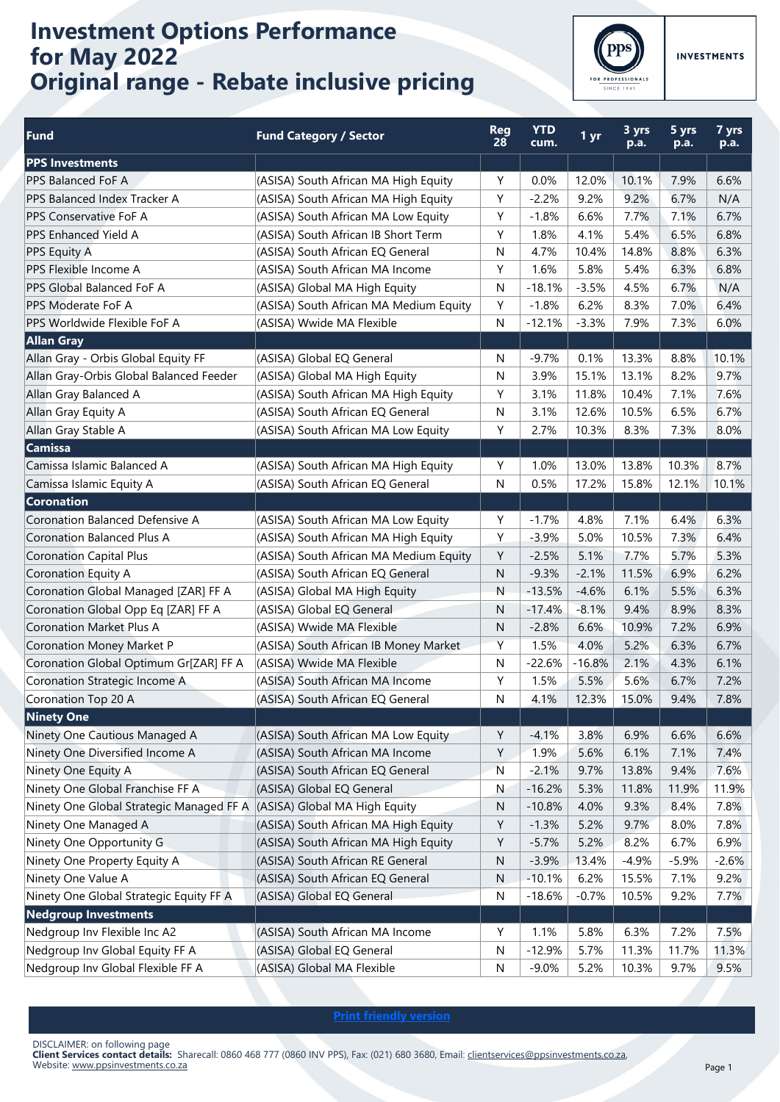## **Investment Options Performance for May 2022 Original range - Rebate inclusive pricing**



**INVESTMENTS** 

| Fund                                                                   | <b>Fund Category / Sector</b>          | <b>Reg</b><br>28 | <b>YTD</b><br>cum. | 1 yr     | 3 yrs<br>p.a. | 5 yrs<br>p.a. | 7 yrs<br>p.a. |
|------------------------------------------------------------------------|----------------------------------------|------------------|--------------------|----------|---------------|---------------|---------------|
| <b>PPS</b> Investments                                                 |                                        |                  |                    |          |               |               |               |
| PPS Balanced FoF A                                                     | (ASISA) South African MA High Equity   | Y                | 0.0%               | 12.0%    | 10.1%         | 7.9%          | 6.6%          |
| PPS Balanced Index Tracker A                                           | (ASISA) South African MA High Equity   | Υ                | $-2.2%$            | 9.2%     | 9.2%          | 6.7%          | N/A           |
| <b>PPS Conservative FoF A</b>                                          | (ASISA) South African MA Low Equity    | Y                | $-1.8%$            | 6.6%     | 7.7%          | 7.1%          | 6.7%          |
| PPS Enhanced Yield A                                                   | (ASISA) South African IB Short Term    | Y                | 1.8%               | 4.1%     | 5.4%          | 6.5%          | 6.8%          |
| PPS Equity A                                                           | (ASISA) South African EQ General       | N                | 4.7%               | 10.4%    | 14.8%         | 8.8%          | 6.3%          |
| PPS Flexible Income A                                                  | (ASISA) South African MA Income        | Y                | 1.6%               | 5.8%     | 5.4%          | 6.3%          | 6.8%          |
| PPS Global Balanced FoF A                                              | (ASISA) Global MA High Equity          | N                | $-18.1%$           | $-3.5%$  | 4.5%          | 6.7%          | N/A           |
| PPS Moderate FoF A                                                     | (ASISA) South African MA Medium Equity | Y                | $-1.8%$            | 6.2%     | 8.3%          | 7.0%          | 6.4%          |
| PPS Worldwide Flexible FoF A                                           | (ASISA) Wwide MA Flexible              | N                | $-12.1%$           | $-3.3%$  | 7.9%          | 7.3%          | 6.0%          |
| <b>Allan Gray</b>                                                      |                                        |                  |                    |          |               |               |               |
| Allan Gray - Orbis Global Equity FF                                    | (ASISA) Global EQ General              | N                | $-9.7%$            | 0.1%     | 13.3%         | 8.8%          | 10.1%         |
| Allan Gray-Orbis Global Balanced Feeder                                | (ASISA) Global MA High Equity          | N                | 3.9%               | 15.1%    | 13.1%         | 8.2%          | 9.7%          |
| Allan Gray Balanced A                                                  | (ASISA) South African MA High Equity   | Y                | 3.1%               | 11.8%    | 10.4%         | 7.1%          | 7.6%          |
| Allan Gray Equity A                                                    | (ASISA) South African EQ General       | N                | 3.1%               | 12.6%    | 10.5%         | 6.5%          | 6.7%          |
| Allan Gray Stable A                                                    | (ASISA) South African MA Low Equity    | Υ                | 2.7%               | 10.3%    | 8.3%          | 7.3%          | 8.0%          |
| <b>Camissa</b>                                                         |                                        |                  |                    |          |               |               |               |
| Camissa Islamic Balanced A                                             | (ASISA) South African MA High Equity   | Y                | 1.0%               | 13.0%    | 13.8%         | 10.3%         | 8.7%          |
| Camissa Islamic Equity A                                               | (ASISA) South African EQ General       | N                | 0.5%               | 17.2%    | 15.8%         | 12.1%         | 10.1%         |
| <b>Coronation</b>                                                      |                                        |                  |                    |          |               |               |               |
| <b>Coronation Balanced Defensive A</b>                                 | (ASISA) South African MA Low Equity    | Y                | $-1.7%$            | 4.8%     | 7.1%          | 6.4%          | 6.3%          |
| <b>Coronation Balanced Plus A</b>                                      | (ASISA) South African MA High Equity   | Y                | $-3.9%$            | 5.0%     | 10.5%         | 7.3%          | 6.4%          |
| <b>Coronation Capital Plus</b>                                         | (ASISA) South African MA Medium Equity | Y                | $-2.5%$            | 5.1%     | 7.7%          | 5.7%          | 5.3%          |
| Coronation Equity A                                                    | (ASISA) South African EQ General       | ${\sf N}$        | $-9.3%$            | $-2.1%$  | 11.5%         | 6.9%          | 6.2%          |
| Coronation Global Managed [ZAR] FF A                                   | (ASISA) Global MA High Equity          | ${\sf N}$        | $-13.5%$           | $-4.6%$  | 6.1%          | 5.5%          | 6.3%          |
| Coronation Global Opp Eq [ZAR] FF A                                    | (ASISA) Global EQ General              | N                | $-17.4%$           | $-8.1%$  | 9.4%          | 8.9%          | 8.3%          |
| <b>Coronation Market Plus A</b>                                        | (ASISA) Wwide MA Flexible              | N                | $-2.8%$            | 6.6%     | 10.9%         | 7.2%          | 6.9%          |
| Coronation Money Market P                                              | (ASISA) South African IB Money Market  | Y                | 1.5%               | 4.0%     | 5.2%          | 6.3%          | 6.7%          |
| Coronation Global Optimum Gr[ZAR] FF A                                 | (ASISA) Wwide MA Flexible              | N                | $-22.6%$           | $-16.8%$ | 2.1%          | 4.3%          | 6.1%          |
| Coronation Strategic Income A                                          | (ASISA) South African MA Income        | Y                | 1.5%               | 5.5%     | 5.6%          | 6.7%          | 7.2%          |
| Coronation Top 20 A                                                    | (ASISA) South African EQ General       | N                | 4.1%               | 12.3%    | 15.0%         | 9.4%          | 7.8%          |
| <b>Ninety One</b>                                                      |                                        |                  |                    |          |               |               |               |
| Ninety One Cautious Managed A                                          | (ASISA) South African MA Low Equity    | Υ                | $-4.1%$            | 3.8%     | 6.9%          | 6.6%          | 6.6%          |
| Ninety One Diversified Income A                                        | (ASISA) South African MA Income        | Υ                | 1.9%               | 5.6%     | 6.1%          | 7.1%          | 7.4%          |
| Ninety One Equity A                                                    | (ASISA) South African EQ General       | ${\sf N}$        | $-2.1%$            | 9.7%     | 13.8%         | 9.4%          | 7.6%          |
| Ninety One Global Franchise FF A                                       | (ASISA) Global EQ General              | N                | $-16.2%$           | 5.3%     | 11.8%         | 11.9%         | 11.9%         |
| Ninety One Global Strategic Managed FF A (ASISA) Global MA High Equity |                                        | N                | $-10.8%$           | 4.0%     | 9.3%          | 8.4%          | 7.8%          |
| Ninety One Managed A                                                   | (ASISA) South African MA High Equity   | Υ                | $-1.3%$            | 5.2%     | 9.7%          | 8.0%          | 7.8%          |
| Ninety One Opportunity G                                               | (ASISA) South African MA High Equity   | Υ                | $-5.7%$            | 5.2%     | 8.2%          | 6.7%          | 6.9%          |
| Ninety One Property Equity A                                           | (ASISA) South African RE General       | N                | $-3.9%$            | 13.4%    | $-4.9%$       | $-5.9%$       | $-2.6%$       |
| Ninety One Value A                                                     | (ASISA) South African EQ General       | N                | $-10.1%$           | 6.2%     | 15.5%         | 7.1%          | 9.2%          |
| Ninety One Global Strategic Equity FF A                                | (ASISA) Global EQ General              | N                | $-18.6%$           | $-0.7%$  | 10.5%         | 9.2%          | 7.7%          |
| <b>Nedgroup Investments</b>                                            |                                        |                  |                    |          |               |               |               |
| Nedgroup Inv Flexible Inc A2                                           | (ASISA) South African MA Income        | Υ                | 1.1%               | 5.8%     | 6.3%          | 7.2%          | 7.5%          |
| Nedgroup Inv Global Equity FF A                                        | (ASISA) Global EQ General              | N                | $-12.9%$           | 5.7%     | 11.3%         | 11.7%         | 11.3%         |
| Nedgroup Inv Global Flexible FF A                                      | (ASISA) Global MA Flexible             | N                | $-9.0%$            | 5.2%     | 10.3%         | 9.7%          | 9.5%          |
|                                                                        |                                        |                  |                    |          |               |               |               |

**Print friendly version**